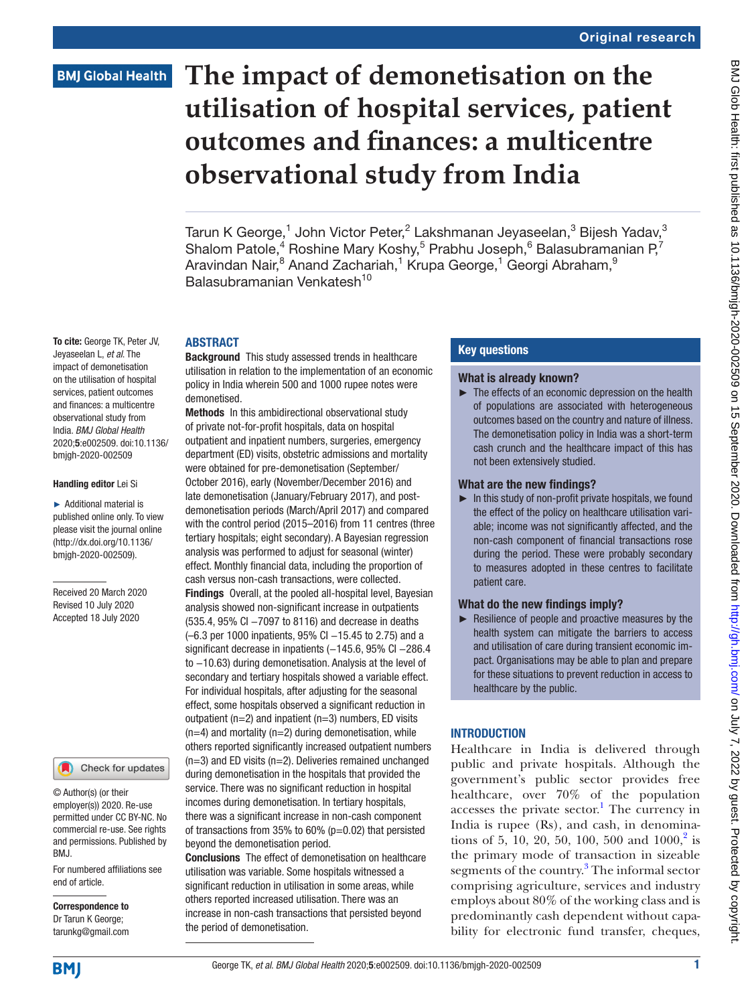# **BMJ Global Health**

To cite: George TK, Peter JV, Jeyaseelan L, *et al*. The impact of demonetisation on the utilisation of hospital services, patient outcomes and finances: a multicentre observational study from India. *BMJ Global Health* 2020;5:e002509. doi:10.1136/ bmjgh-2020-002509

Handling editor Lei Si ► Additional material is published online only. To view please visit the journal online (http://dx.doi.org/10.1136/ bmjgh-2020-002509).

Received 20 March 2020 Revised 10 July 2020 Accepted 18 July 2020

# **The impact of demonetisation on the utilisation of hospital services, patient outcomes and finances: a multicentre observational study from India**

Tarun K George, $^1$  John Victor Peter, $^2$  Lakshmanan Jeyaseelan, $^3$  Bijesh Yadav, $^3$ Shalom Patole,<sup>4</sup> Roshine Mary Koshy,<sup>5</sup> Prabhu Joseph,<sup>6</sup> Balasubramanian P,<sup>7</sup> Aravindan Nair, $^8$  Anand Zachariah, $^1$  Krupa George, $^1$  Georgi Abraham, $^9$ Balasubramanian Venkatesh<sup>10</sup>

#### ABSTRACT

Background This study assessed trends in healthcare utilisation in relation to the implementation of an economic policy in India wherein 500 and 1000 rupee notes were demonetised.

Methods In this ambidirectional observational study of private not-for-profit hospitals, data on hospital outpatient and inpatient numbers, surgeries, emergency department (ED) visits, obstetric admissions and mortality were obtained for pre-demonetisation (September/ October 2016), early (November/December 2016) and late demonetisation (January/February 2017), and postdemonetisation periods (March/April 2017) and compared with the control period (2015–2016) from 11 centres (three tertiary hospitals; eight secondary). A Bayesian regression analysis was performed to adjust for seasonal (winter) effect. Monthly financial data, including the proportion of cash versus non-cash transactions, were collected. Findings Overall, at the pooled all-hospital level, Bayesian analysis showed non-significant increase in outpatients (535.4, 95% CI −7097 to 8116) and decrease in deaths (–6.3 per 1000 inpatients, 95% CI –15.45 to 2.75) and a significant decrease in inpatients (-145.6, 95% Cl -286.4 to −10.63) during demonetisation. Analysis at the level of secondary and tertiary hospitals showed a variable effect. For individual hospitals, after adjusting for the seasonal effect, some hospitals observed a significant reduction in outpatient (n=2) and inpatient (n=3) numbers, ED visits  $(n=4)$  and mortality  $(n=2)$  during demonetisation, while others reported significantly increased outpatient numbers (n=3) and ED visits (n=2). Deliveries remained unchanged during demonetisation in the hospitals that provided the service. There was no significant reduction in hospital incomes during demonetisation. In tertiary hospitals, there was a significant increase in non-cash component of transactions from 35% to 60% (p=0.02) that persisted beyond the demonetisation period.

Conclusions The effect of demonetisation on healthcare utilisation was variable. Some hospitals witnessed a significant reduction in utilisation in some areas, while others reported increased utilisation. There was an increase in non-cash transactions that persisted beyond the period of demonetisation.

#### Key questions

#### What is already known?

► The effects of an economic depression on the health of populations are associated with heterogeneous outcomes based on the country and nature of illness. The demonetisation policy in India was a short-term cash crunch and the healthcare impact of this has not been extensively studied.

#### What are the new findings?

 $\blacktriangleright$  In this study of non-profit private hospitals, we found the effect of the policy on healthcare utilisation variable; income was not significantly affected, and the non-cash component of financial transactions rose during the period. These were probably secondary to measures adopted in these centres to facilitate patient care.

#### What do the new findings imply?

► Resilience of people and proactive measures by the health system can mitigate the barriers to access and utilisation of care during transient economic impact. Organisations may be able to plan and prepare for these situations to prevent reduction in access to healthcare by the public.

### **INTRODUCTION**

Healthcare in India is delivered through public and private hospitals. Although the government's public sector provides free healthcare, over 70% of the population  $accesses$  the private  $sector<sup>1</sup>$  $sector<sup>1</sup>$  $sector<sup>1</sup>$ . The currency in India is rupee (Rs), and cash, in denomina-tions of 5, 10, [2](#page-9-0)0, 50, 100, 500 and  $1000$ ,<sup>2</sup> is the primary mode of transaction in sizeable segments of the country.<sup>[3](#page-9-1)</sup> The informal sector comprising agriculture, services and industry employs about 80% of the working class and is predominantly cash dependent without capability for electronic fund transfer, cheques,

**BMI** 

end of article.

BMJ.

Correspondence to Dr Tarun K George; tarunkg@gmail.com

© Author(s) (or their employer(s)) 2020. Re-use permitted under CC BY-NC. No commercial re-use. See rights and permissions. Published by

For numbered affiliations see

Check for updates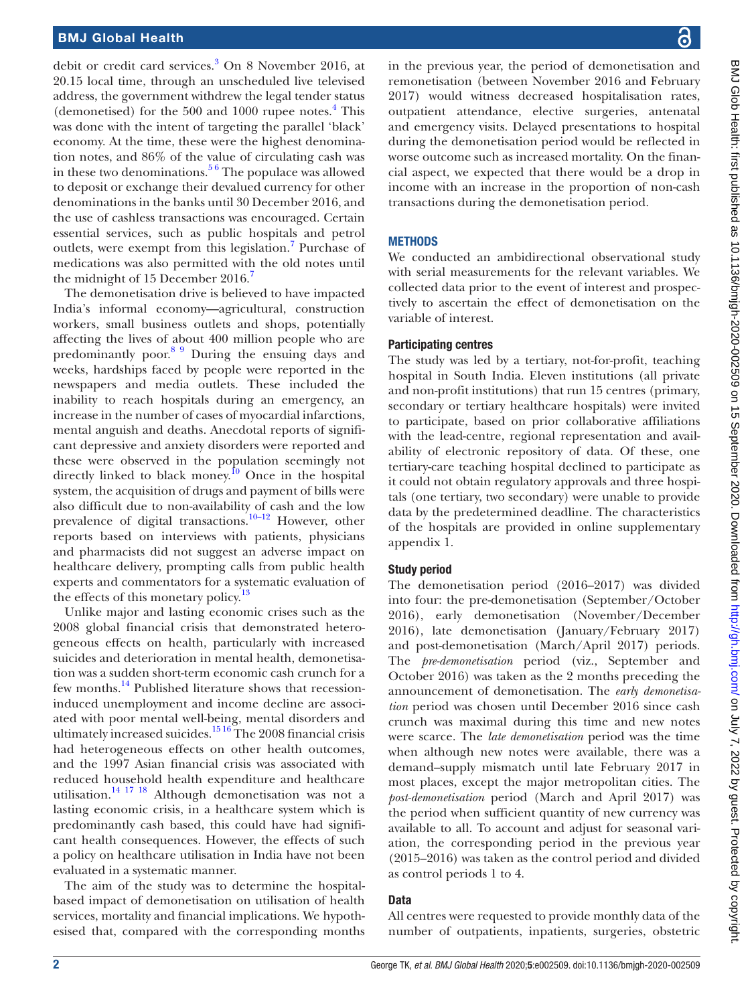#### BMJ Global Health

debit or credit card services.<sup>3</sup> On 8 November 2016, at 20.15 local time, through an unscheduled live televised address, the government withdrew the legal tender status (demonetised) for the 500 and 1000 rupee notes.<sup>[4](#page-9-2)</sup> This was done with the intent of targeting the parallel 'black' economy. At the time, these were the highest denomination notes, and 86% of the value of circulating cash was in these two denominations.<sup>56</sup> The populace was allowed to deposit or exchange their devalued currency for other denominations in the banks until 30 December 2016, and the use of cashless transactions was encouraged. Certain essential services, such as public hospitals and petrol outlets, were exempt from this legislation.<sup>7</sup> Purchase of medications was also permitted with the old notes until the midnight of 15 December 2016.<sup>7</sup>

The demonetisation drive is believed to have impacted India's informal economy—agricultural, construction workers, small business outlets and shops, potentially affecting the lives of about 400 million people who are predominantly poor.[8 9](#page-9-5) During the ensuing days and weeks, hardships faced by people were reported in the newspapers and media outlets. These included the inability to reach hospitals during an emergency, an increase in the number of cases of myocardial infarctions, mental anguish and deaths. Anecdotal reports of significant depressive and anxiety disorders were reported and these were observed in the population seemingly not directly linked to black money.<sup>[10](#page-9-6)</sup> Once in the hospital system, the acquisition of drugs and payment of bills were also difficult due to non-availability of cash and the low prevalence of digital transactions.<sup>10-12</sup> However, other reports based on interviews with patients, physicians and pharmacists did not suggest an adverse impact on healthcare delivery, prompting calls from public health experts and commentators for a systematic evaluation of the effects of this monetary policy.<sup>[13](#page-9-7)</sup>

Unlike major and lasting economic crises such as the 2008 global financial crisis that demonstrated heterogeneous effects on health, particularly with increased suicides and deterioration in mental health, demonetisation was a sudden short-term economic cash crunch for a few months.<sup>14</sup> Published literature shows that recessioninduced unemployment and income decline are associated with poor mental well-being, mental disorders and ultimately increased suicides.<sup>15 16</sup> The 2008 financial crisis had heterogeneous effects on other health outcomes, and the 1997 Asian financial crisis was associated with reduced household health expenditure and healthcare utilisation[.14 17 18](#page-9-8) Although demonetisation was not a lasting economic crisis, in a healthcare system which is predominantly cash based, this could have had significant health consequences. However, the effects of such a policy on healthcare utilisation in India have not been evaluated in a systematic manner.

The aim of the study was to determine the hospitalbased impact of demonetisation on utilisation of health services, mortality and financial implications. We hypothesised that, compared with the corresponding months

in the previous year, the period of demonetisation and remonetisation (between November 2016 and February 2017) would witness decreased hospitalisation rates, outpatient attendance, elective surgeries, antenatal and emergency visits. Delayed presentations to hospital during the demonetisation period would be reflected in worse outcome such as increased mortality. On the financial aspect, we expected that there would be a drop in income with an increase in the proportion of non-cash transactions during the demonetisation period.

#### **METHODS**

We conducted an ambidirectional observational study with serial measurements for the relevant variables. We collected data prior to the event of interest and prospectively to ascertain the effect of demonetisation on the variable of interest.

#### Participating centres

The study was led by a tertiary, not-for-profit, teaching hospital in South India. Eleven institutions (all private and non-profit institutions) that run 15 centres (primary, secondary or tertiary healthcare hospitals) were invited to participate, based on prior collaborative affiliations with the lead-centre, regional representation and availability of electronic repository of data. Of these, one tertiary-care teaching hospital declined to participate as it could not obtain regulatory approvals and three hospitals (one tertiary, two secondary) were unable to provide data by the predetermined deadline. The characteristics of the hospitals are provided in [online supplementary](https://dx.doi.org/10.1136/bmjgh-2020-002509) [appendix 1.](https://dx.doi.org/10.1136/bmjgh-2020-002509)

#### Study period

The demonetisation period (2016–2017) was divided into four: the pre-demonetisation (September/October 2016), early demonetisation (November/December 2016), late demonetisation (January/February 2017) and post-demonetisation (March/April 2017) periods. The *pre-demonetisation* period (viz., September and October 2016) was taken as the 2 months preceding the announcement of demonetisation. The *early demonetisation* period was chosen until December 2016 since cash crunch was maximal during this time and new notes were scarce. The *late demonetisation* period was the time when although new notes were available, there was a demand–supply mismatch until late February 2017 in most places, except the major metropolitan cities. The *post-demonetisation* period (March and April 2017) was the period when sufficient quantity of new currency was available to all. To account and adjust for seasonal variation, the corresponding period in the previous year (2015–2016) was taken as the control period and divided as control periods 1 to 4.

#### **Data**

All centres were requested to provide monthly data of the number of outpatients, inpatients, surgeries, obstetric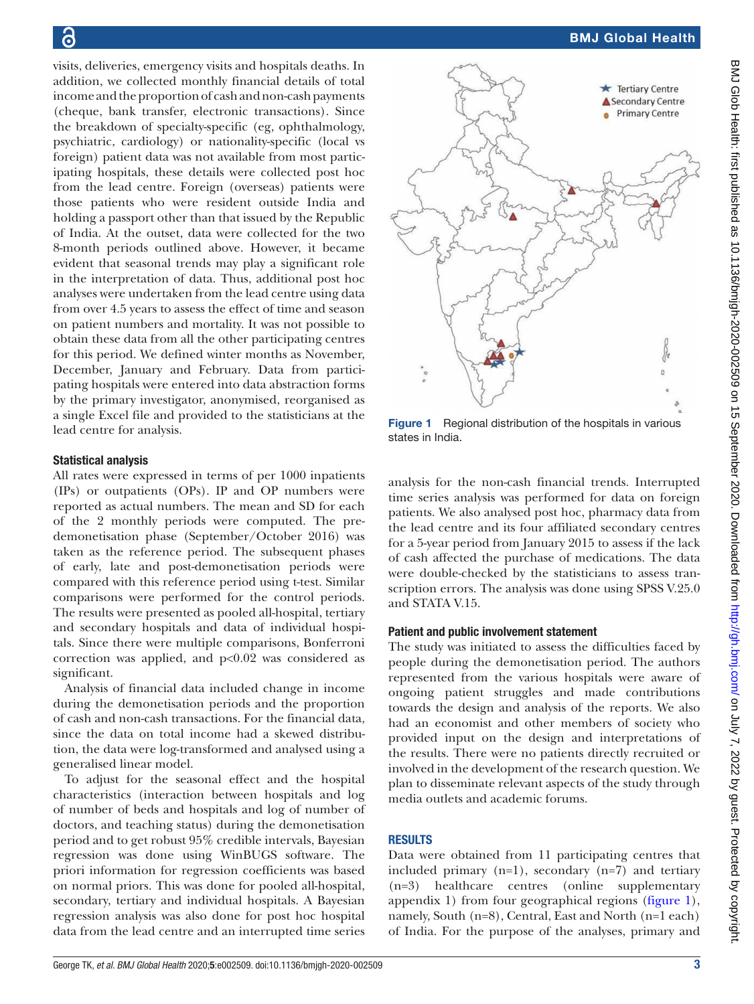visits, deliveries, emergency visits and hospitals deaths. In addition, we collected monthly financial details of total income and the proportion of cash and non-cash payments (cheque, bank transfer, electronic transactions). Since the breakdown of specialty-specific (eg, ophthalmology, psychiatric, cardiology) or nationality-specific (local vs foreign) patient data was not available from most participating hospitals, these details were collected post hoc from the lead centre. Foreign (overseas) patients were those patients who were resident outside India and holding a passport other than that issued by the Republic of India. At the outset, data were collected for the two 8-month periods outlined above. However, it became evident that seasonal trends may play a significant role in the interpretation of data. Thus, additional post hoc analyses were undertaken from the lead centre using data from over 4.5 years to assess the effect of time and season on patient numbers and mortality. It was not possible to obtain these data from all the other participating centres for this period. We defined winter months as November, December, January and February. Data from participating hospitals were entered into data abstraction forms by the primary investigator, anonymised, reorganised as a single Excel file and provided to the statisticians at the lead centre for analysis.

#### Statistical analysis

All rates were expressed in terms of per 1000 inpatients (IPs) or outpatients (OPs). IP and OP numbers were reported as actual numbers. The mean and SD for each of the 2 monthly periods were computed. The predemonetisation phase (September/October 2016) was taken as the reference period. The subsequent phases of early, late and post-demonetisation periods were compared with this reference period using t-test. Similar comparisons were performed for the control periods. The results were presented as pooled all-hospital, tertiary and secondary hospitals and data of individual hospitals. Since there were multiple comparisons, Bonferroni correction was applied, and p<0.02 was considered as significant.

Analysis of financial data included change in income during the demonetisation periods and the proportion of cash and non-cash transactions. For the financial data, since the data on total income had a skewed distribution, the data were log-transformed and analysed using a generalised linear model.

To adjust for the seasonal effect and the hospital characteristics (interaction between hospitals and log of number of beds and hospitals and log of number of doctors, and teaching status) during the demonetisation period and to get robust 95% credible intervals, Bayesian regression was done using WinBUGS software. The priori information for regression coefficients was based on normal priors. This was done for pooled all-hospital, secondary, tertiary and individual hospitals. A Bayesian regression analysis was also done for post hoc hospital data from the lead centre and an interrupted time series



<span id="page-2-0"></span>Figure 1 Regional distribution of the hospitals in various states in India.

analysis for the non-cash financial trends. Interrupted time series analysis was performed for data on foreign patients. We also analysed post hoc, pharmacy data from the lead centre and its four affiliated secondary centres for a 5-year period from January 2015 to assess if the lack of cash affected the purchase of medications. The data were double-checked by the statisticians to assess transcription errors. The analysis was done using SPSS V.25.0 and STATA V.15.

#### Patient and public involvement statement

The study was initiated to assess the difficulties faced by people during the demonetisation period. The authors represented from the various hospitals were aware of ongoing patient struggles and made contributions towards the design and analysis of the reports. We also had an economist and other members of society who provided input on the design and interpretations of the results. There were no patients directly recruited or involved in the development of the research question. We plan to disseminate relevant aspects of the study through media outlets and academic forums.

#### RESULTS

Data were obtained from 11 participating centres that included primary  $(n=1)$ , secondary  $(n=7)$  and tertiary (n=3) healthcare centres ([online supplementary](https://dx.doi.org/10.1136/bmjgh-2020-002509) [appendix 1\)](https://dx.doi.org/10.1136/bmjgh-2020-002509) from four geographical regions ([figure](#page-2-0) 1), namely, South (n=8), Central, East and North (n=1 each) of India. For the purpose of the analyses, primary and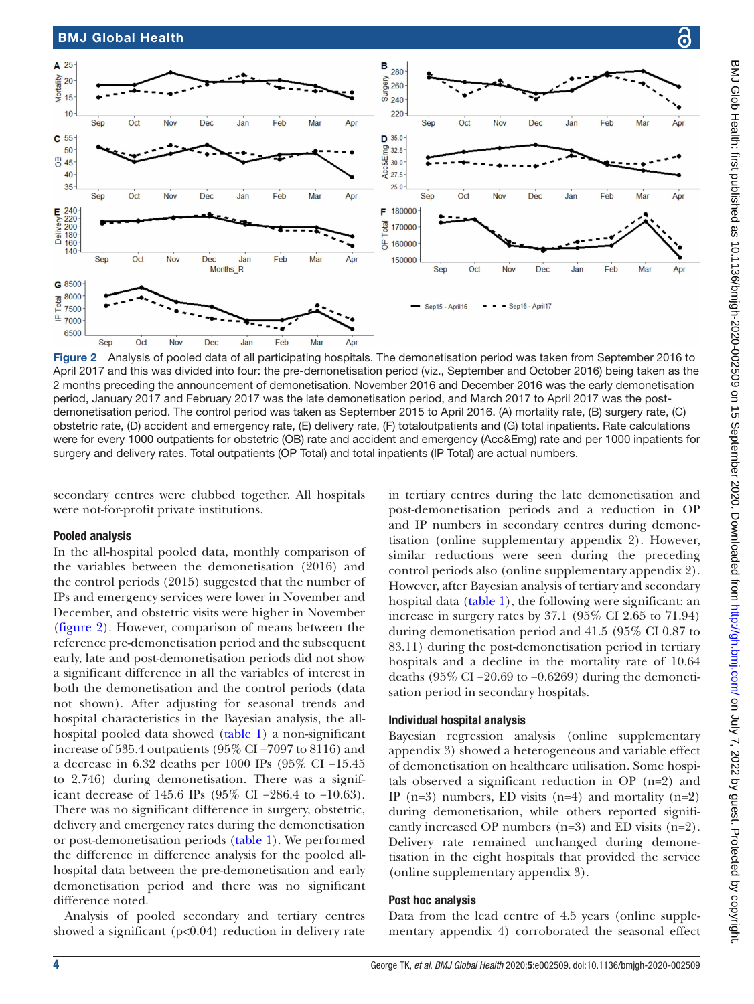

<span id="page-3-0"></span>Figure 2 Analysis of pooled data of all participating hospitals. The demonetisation period was taken from September 2016 to April 2017 and this was divided into four: the pre-demonetisation period (viz., September and October 2016) being taken as the 2 months preceding the announcement of demonetisation. November 2016 and December 2016 was the early demonetisation period, January 2017 and February 2017 was the late demonetisation period, and March 2017 to April 2017 was the postdemonetisation period. The control period was taken as September 2015 to April 2016. (A) mortality rate, (B) surgery rate, (C) obstetric rate, (D) accident and emergency rate, (E) delivery rate, (F) totaloutpatients and (G) total inpatients. Rate calculations were for every 1000 outpatients for obstetric (OB) rate and accident and emergency (Acc&Emg) rate and per 1000 inpatients for surgery and delivery rates. Total outpatients (OP Total) and total inpatients (IP Total) are actual numbers.

secondary centres were clubbed together. All hospitals were not-for-profit private institutions.

#### Pooled analysis

In the all-hospital pooled data, monthly comparison of the variables between the demonetisation (2016) and the control periods (2015) suggested that the number of IPs and emergency services were lower in November and December, and obstetric visits were higher in November ([figure](#page-3-0) 2). However, comparison of means between the reference pre-demonetisation period and the subsequent early, late and post-demonetisation periods did not show a significant difference in all the variables of interest in both the demonetisation and the control periods (data not shown). After adjusting for seasonal trends and hospital characteristics in the Bayesian analysis, the allhospital pooled data showed [\(table](#page-4-0) 1) a non-significant increase of 535.4 outpatients (95% CI −7097 to 8116) and a decrease in 6.32 deaths per 1000 IPs (95% CI −15.45 to 2.746) during demonetisation. There was a significant decrease of 145.6 IPs (95% CI −286.4 to −10.63). There was no significant difference in surgery, obstetric, delivery and emergency rates during the demonetisation or post-demonetisation periods ([table](#page-4-0) 1). We performed the difference in difference analysis for the pooled allhospital data between the pre-demonetisation and early demonetisation period and there was no significant difference noted.

Analysis of pooled secondary and tertiary centres showed a significant  $(p<0.04)$  reduction in delivery rate

in tertiary centres during the late demonetisation and post-demonetisation periods and a reduction in OP and IP numbers in secondary centres during demonetisation [\(online supplementary appendix 2\)](https://dx.doi.org/10.1136/bmjgh-2020-002509). However, similar reductions were seen during the preceding control periods also ([online supplementary appendix 2](https://dx.doi.org/10.1136/bmjgh-2020-002509)). However, after Bayesian analysis of tertiary and secondary hospital data [\(table](#page-4-0) 1), the following were significant: an increase in surgery rates by 37.1 (95% CI 2.65 to 71.94) during demonetisation period and 41.5 (95% CI 0.87 to 83.11) during the post-demonetisation period in tertiary hospitals and a decline in the mortality rate of 10.64 deaths (95% CI −20.69 to −0.6269) during the demonetisation period in secondary hospitals.

#### Individual hospital analysis

Bayesian regression analysis ([online supplementary](https://dx.doi.org/10.1136/bmjgh-2020-002509) [appendix 3](https://dx.doi.org/10.1136/bmjgh-2020-002509)) showed a heterogeneous and variable effect of demonetisation on healthcare utilisation. Some hospitals observed a significant reduction in OP (n=2) and IP ( $n=3$ ) numbers, ED visits ( $n=4$ ) and mortality ( $n=2$ ) during demonetisation, while others reported significantly increased OP numbers  $(n=3)$  and ED visits  $(n=2)$ . Delivery rate remained unchanged during demonetisation in the eight hospitals that provided the service [\(online supplementary appendix 3\)](https://dx.doi.org/10.1136/bmjgh-2020-002509).

#### Post hoc analysis

Data from the lead centre of 4.5 years ([online supple](https://dx.doi.org/10.1136/bmjgh-2020-002509)[mentary appendix 4\)](https://dx.doi.org/10.1136/bmjgh-2020-002509) corroborated the seasonal effect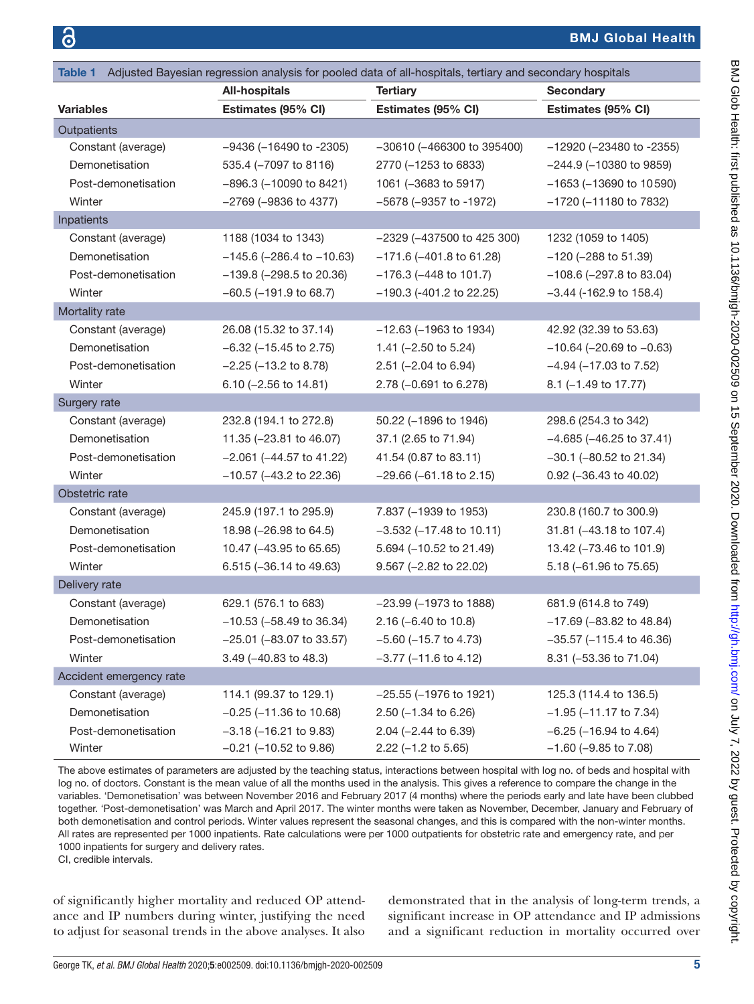<span id="page-4-0"></span>

| Adjusted Bayesian regression analysis for pooled data of all-hospitals, tertiary and secondary hospitals<br>Table 1 |                                         |                                 |                                  |  |  |  |  |
|---------------------------------------------------------------------------------------------------------------------|-----------------------------------------|---------------------------------|----------------------------------|--|--|--|--|
|                                                                                                                     | <b>All-hospitals</b><br><b>Tertiary</b> |                                 | <b>Secondary</b>                 |  |  |  |  |
| <b>Variables</b>                                                                                                    | Estimates (95% CI)                      | Estimates (95% CI)              | Estimates (95% CI)               |  |  |  |  |
| Outpatients                                                                                                         |                                         |                                 |                                  |  |  |  |  |
| Constant (average)                                                                                                  | $-9436$ ( $-16490$ to $-2305$ )         | $-30610$ ( $-466300$ to 395400) | $-12920$ ( $-23480$ to $-2355$ ) |  |  |  |  |
| Demonetisation                                                                                                      | 535.4 (-7097 to 8116)                   | 2770 (-1253 to 6833)            | $-244.9$ ( $-10380$ to 9859)     |  |  |  |  |
| Post-demonetisation                                                                                                 | $-896.3$ ( $-10090$ to 8421)            | 1061 (-3683 to 5917)            | $-1653$ ( $-13690$ to 10590)     |  |  |  |  |
| Winter                                                                                                              | $-2769$ ( $-9836$ to 4377)              | $-5678$ ( $-9357$ to $-1972$ )  | -1720 (-11180 to 7832)           |  |  |  |  |
| Inpatients                                                                                                          |                                         |                                 |                                  |  |  |  |  |
| Constant (average)                                                                                                  | 1188 (1034 to 1343)                     | $-2329$ ( $-437500$ to 425 300) | 1232 (1059 to 1405)              |  |  |  |  |
| Demonetisation                                                                                                      | $-145.6$ (-286.4 to $-10.63$ )          | $-171.6$ ( $-401.8$ to 61.28)   | $-120$ ( $-288$ to 51.39)        |  |  |  |  |
| Post-demonetisation                                                                                                 | $-139.8$ ( $-298.5$ to 20.36)           | $-176.3$ ( $-448$ to 101.7)     | $-108.6$ ( $-297.8$ to 83.04)    |  |  |  |  |
| Winter                                                                                                              | $-60.5$ ( $-191.9$ to 68.7)             | $-190.3$ (-401.2 to 22.25)      | $-3.44$ (-162.9 to 158.4)        |  |  |  |  |
| Mortality rate                                                                                                      |                                         |                                 |                                  |  |  |  |  |
| Constant (average)                                                                                                  | 26.08 (15.32 to 37.14)                  | $-12.63$ ( $-1963$ to 1934)     | 42.92 (32.39 to 53.63)           |  |  |  |  |
| Demonetisation                                                                                                      | $-6.32$ ( $-15.45$ to 2.75)             | 1.41 $(-2.50 \text{ to } 5.24)$ | $-10.64$ ( $-20.69$ to $-0.63$ ) |  |  |  |  |
| Post-demonetisation                                                                                                 | $-2.25$ ( $-13.2$ to 8.78)              | 2.51 (-2.04 to 6.94)            | $-4.94$ ( $-17.03$ to 7.52)      |  |  |  |  |
| Winter                                                                                                              | $6.10$ (-2.56 to 14.81)                 | 2.78 (-0.691 to 6.278)          | 8.1 (-1.49 to 17.77)             |  |  |  |  |
| Surgery rate                                                                                                        |                                         |                                 |                                  |  |  |  |  |
| Constant (average)                                                                                                  | 232.8 (194.1 to 272.8)                  | 50.22 (-1896 to 1946)           | 298.6 (254.3 to 342)             |  |  |  |  |
| Demonetisation                                                                                                      | 11.35 (-23.81 to 46.07)                 | 37.1 (2.65 to 71.94)            | $-4.685$ ( $-46.25$ to 37.41)    |  |  |  |  |
| Post-demonetisation                                                                                                 | $-2.061$ ( $-44.57$ to $41.22$ )        | 41.54 (0.87 to 83.11)           | $-30.1$ ( $-80.52$ to 21.34)     |  |  |  |  |
| Winter                                                                                                              | $-10.57$ ( $-43.2$ to 22.36)            | $-29.66$ ( $-61.18$ to 2.15)    | 0.92 (-36.43 to 40.02)           |  |  |  |  |
| Obstetric rate                                                                                                      |                                         |                                 |                                  |  |  |  |  |
| Constant (average)                                                                                                  | 245.9 (197.1 to 295.9)                  | 7.837 (-1939 to 1953)           | 230.8 (160.7 to 300.9)           |  |  |  |  |
| Demonetisation                                                                                                      | 18.98 (-26.98 to 64.5)                  | $-3.532$ ( $-17.48$ to 10.11)   | 31.81 (-43.18 to 107.4)          |  |  |  |  |
| Post-demonetisation                                                                                                 | 10.47 (-43.95 to 65.65)                 | 5.694 (-10.52 to 21.49)         | 13.42 (-73.46 to 101.9)          |  |  |  |  |
| Winter                                                                                                              | 6.515 (-36.14 to 49.63)                 | 9.567 (-2.82 to 22.02)          | 5.18 (-61.96 to 75.65)           |  |  |  |  |
| Delivery rate                                                                                                       |                                         |                                 |                                  |  |  |  |  |
| Constant (average)                                                                                                  | 629.1 (576.1 to 683)                    | $-23.99$ ( $-1973$ to 1888)     | 681.9 (614.8 to 749)             |  |  |  |  |
| Demonetisation                                                                                                      | $-10.53$ ( $-58.49$ to 36.34)           | $2.16 (-6.40 to 10.8)$          | $-17.69$ ( $-83.82$ to 48.84)    |  |  |  |  |
| Post-demonetisation                                                                                                 | -25.01 (-83.07 to 33.57)                | $-5.60$ ( $-15.7$ to 4.73)      | $-35.57$ ( $-115.4$ to 46.36)    |  |  |  |  |
| Winter                                                                                                              | 3.49 (-40.83 to 48.3)                   | $-3.77$ ( $-11.6$ to 4.12)      | 8.31 (-53.36 to 71.04)           |  |  |  |  |
| Accident emergency rate                                                                                             |                                         |                                 |                                  |  |  |  |  |
| Constant (average)                                                                                                  | 114.1 (99.37 to 129.1)                  | $-25.55$ ( $-1976$ to 1921)     | 125.3 (114.4 to 136.5)           |  |  |  |  |
| Demonetisation                                                                                                      | $-0.25$ ( $-11.36$ to 10.68)            | $2.50$ (-1.34 to 6.26)          | $-1.95$ ( $-11.17$ to 7.34)      |  |  |  |  |
| Post-demonetisation                                                                                                 | $-3.18$ ( $-16.21$ to 9.83)             | $2.04$ (-2.44 to 6.39)          | $-6.25$ ( $-16.94$ to 4.64)      |  |  |  |  |
| Winter                                                                                                              | $-0.21$ ( $-10.52$ to 9.86)             | $2.22$ (-1.2 to 5.65)           | $-1.60$ ( $-9.85$ to $7.08$ )    |  |  |  |  |

The above estimates of parameters are adjusted by the teaching status, interactions between hospital with log no. of beds and hospital with log no. of doctors. Constant is the mean value of all the months used in the analysis. This gives a reference to compare the change in the variables. 'Demonetisation' was between November 2016 and February 2017 (4 months) where the periods early and late have been clubbed together. 'Post-demonetisation' was March and April 2017. The winter months were taken as November, December, January and February of both demonetisation and control periods. Winter values represent the seasonal changes, and this is compared with the non-winter months. All rates are represented per 1000 inpatients. Rate calculations were per 1000 outpatients for obstetric rate and emergency rate, and per 1000 inpatients for surgery and delivery rates.

CI, credible intervals.

of significantly higher mortality and reduced OP attendance and IP numbers during winter, justifying the need to adjust for seasonal trends in the above analyses. It also

demonstrated that in the analysis of long-term trends, a significant increase in OP attendance and IP admissions and a significant reduction in mortality occurred over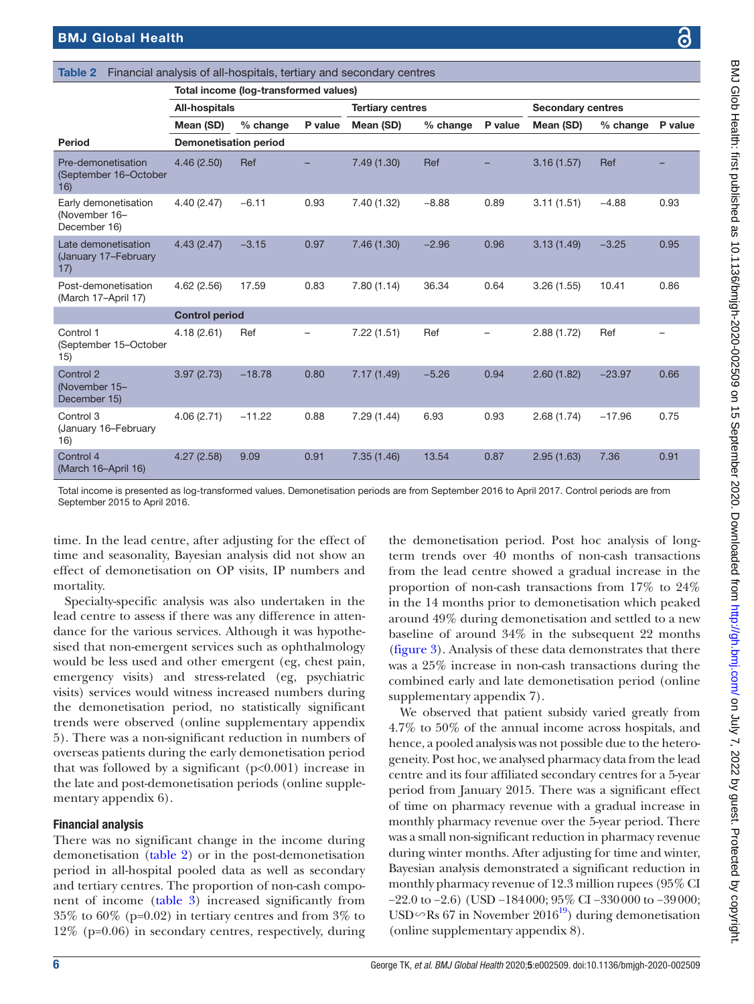|                                                       | <b>All-hospitals</b>         |            | <b>Tertiary centres</b> |             |          | <b>Secondary centres</b> |            |            |         |
|-------------------------------------------------------|------------------------------|------------|-------------------------|-------------|----------|--------------------------|------------|------------|---------|
|                                                       | Mean (SD)                    | $%$ change | P value                 | Mean (SD)   | % change | P value                  | Mean (SD)  | $%$ change | P value |
| <b>Period</b>                                         | <b>Demonetisation period</b> |            |                         |             |          |                          |            |            |         |
| Pre-demonetisation<br>(September 16-October<br>16)    | 4.46(2.50)                   | Ref        |                         | 7.49(1.30)  | Ref      |                          | 3.16(1.57) | Ref        |         |
| Early demonetisation<br>(November 16-<br>December 16) | 4.40(2.47)                   | $-6.11$    | 0.93                    | 7.40 (1.32) | $-8.88$  | 0.89                     | 3.11(1.51) | $-4.88$    | 0.93    |
| Late demonetisation<br>(January 17-February<br>17)    | 4.43(2.47)                   | $-3.15$    | 0.97                    | 7.46(1.30)  | $-2.96$  | 0.96                     | 3.13(1.49) | $-3.25$    | 0.95    |
| Post-demonetisation<br>(March 17-April 17)            | 4.62(2.56)                   | 17.59      | 0.83                    | 7.80(1.14)  | 36.34    | 0.64                     | 3.26(1.55) | 10.41      | 0.86    |
|                                                       | <b>Control period</b>        |            |                         |             |          |                          |            |            |         |
| Control 1<br>(September 15-October<br>15)             | 4.18(2.61)                   | Ref        |                         | 7.22(1.51)  | Ref      |                          | 2.88(1.72) | Ref        |         |
| Control 2<br>(November 15-<br>December 15)            | 3.97(2.73)                   | $-18.78$   | 0.80                    | 7.17(1.49)  | $-5.26$  | 0.94                     | 2.60(1.82) | $-23.97$   | 0.66    |
| Control 3<br>(January 16-February<br>16)              | 4.06(2.71)                   | $-11.22$   | 0.88                    | 7.29 (1.44) | 6.93     | 0.93                     | 2.68(1.74) | $-17.96$   | 0.75    |
| Control 4<br>(March 16-April 16)                      | 4.27(2.58)                   | 9.09       | 0.91                    | 7.35(1.46)  | 13.54    | 0.87                     | 2.95(1.63) | 7.36       | 0.91    |
|                                                       |                              |            |                         |             |          |                          |            |            |         |

<span id="page-5-0"></span>Table 2 Financial analysis of all-hospitals, tertiary and secondary centres

Total income (log-transformed values)

Total income is presented as log-transformed values. Demonetisation periods are from September 2016 to April 2017. Control periods are from September 2015 to April 2016.

time. In the lead centre, after adjusting for the effect of time and seasonality, Bayesian analysis did not show an effect of demonetisation on OP visits, IP numbers and mortality.

Specialty-specific analysis was also undertaken in the lead centre to assess if there was any difference in attendance for the various services. Although it was hypothesised that non-emergent services such as ophthalmology would be less used and other emergent (eg, chest pain, emergency visits) and stress-related (eg, psychiatric visits) services would witness increased numbers during the demonetisation period, no statistically significant trends were observed [\(online supplementary appendix](https://dx.doi.org/10.1136/bmjgh-2020-002509)  [5](https://dx.doi.org/10.1136/bmjgh-2020-002509)). There was a non-significant reduction in numbers of overseas patients during the early demonetisation period that was followed by a significant  $(p<0.001)$  increase in the late and post-demonetisation periods ([online supple](https://dx.doi.org/10.1136/bmjgh-2020-002509)[mentary appendix 6\)](https://dx.doi.org/10.1136/bmjgh-2020-002509).

# Financial analysis

There was no significant change in the income during demonetisation [\(table](#page-5-0) 2) or in the post-demonetisation period in all-hospital pooled data as well as secondary and tertiary centres. The proportion of non-cash component of income ([table](#page-6-0) 3) increased significantly from 35% to 60% (p=0.02) in tertiary centres and from 3% to 12% (p=0.06) in secondary centres, respectively, during

the demonetisation period. Post hoc analysis of longterm trends over 40 months of non-cash transactions from the lead centre showed a gradual increase in the proportion of non-cash transactions from 17% to 24% in the 14 months prior to demonetisation which peaked around 49% during demonetisation and settled to a new baseline of around 34% in the subsequent 22 months [\(figure](#page-6-1) 3). Analysis of these data demonstrates that there was a 25% increase in non-cash transactions during the combined early and late demonetisation period [\(online](https://dx.doi.org/10.1136/bmjgh-2020-002509) [supplementary appendix 7](https://dx.doi.org/10.1136/bmjgh-2020-002509)).

We observed that patient subsidy varied greatly from 4.7% to 50% of the annual income across hospitals, and hence, a pooled analysis was not possible due to the heterogeneity. Post hoc, we analysed pharmacy data from the lead centre and its four affiliated secondary centres for a 5-year period from January 2015. There was a significant effect of time on pharmacy revenue with a gradual increase in monthly pharmacy revenue over the 5-year period. There was a small non-significant reduction in pharmacy revenue during winter months. After adjusting for time and winter, Bayesian analysis demonstrated a significant reduction in monthly pharmacy revenue of 12.3 million rupees (95% CI −22.0 to −2.6) (USD −184000; 95% CI −330000 to −39000; USD∽Rs 67 in November 2016<sup>19</sup>) during demonetisation [\(online supplementary appendix 8](https://dx.doi.org/10.1136/bmjgh-2020-002509)).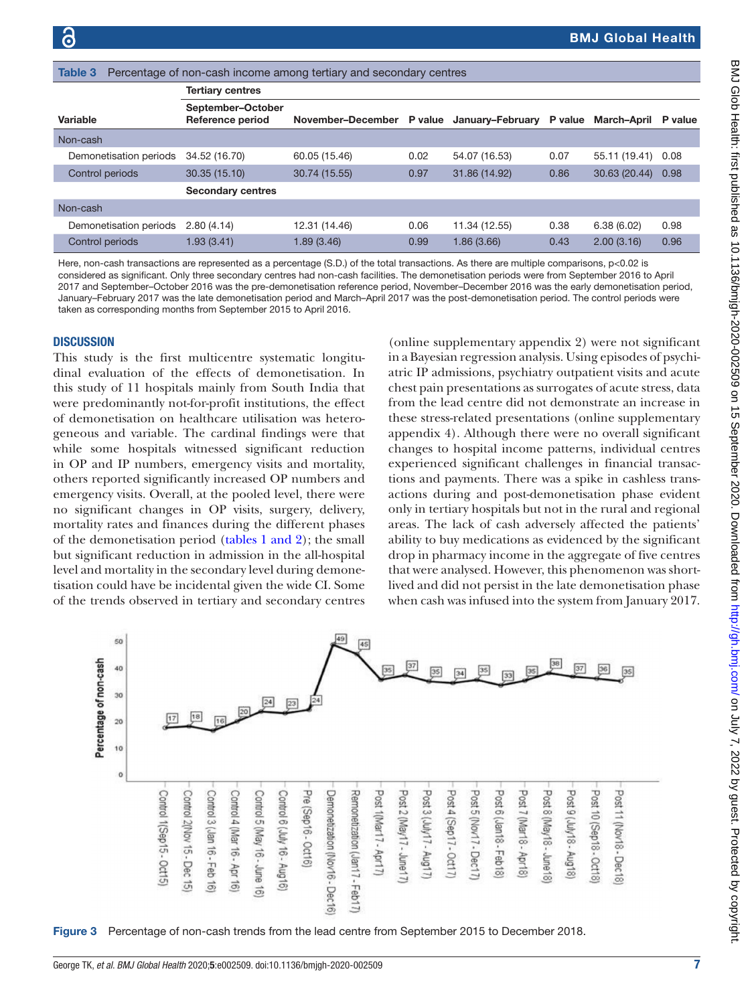<span id="page-6-0"></span>

| Table 3<br>Percentage of non-cash income among tertiary and secondary centres |                                       |                                            |      |               |         |                     |      |  |  |  |
|-------------------------------------------------------------------------------|---------------------------------------|--------------------------------------------|------|---------------|---------|---------------------|------|--|--|--|
|                                                                               | <b>Tertiary centres</b>               |                                            |      |               |         |                     |      |  |  |  |
| Variable                                                                      | September-October<br>Reference period | November-December P value January-February |      |               | P value | March-April P value |      |  |  |  |
| Non-cash                                                                      |                                       |                                            |      |               |         |                     |      |  |  |  |
| Demonetisation periods                                                        | 34.52 (16.70)                         | 60.05 (15.46)                              | 0.02 | 54.07 (16.53) | 0.07    | 55.11 (19.41)       | 0.08 |  |  |  |
| Control periods                                                               | 30.35 (15.10)                         | 30.74 (15.55)                              | 0.97 | 31.86 (14.92) | 0.86    | 30.63 (20.44)       | 0.98 |  |  |  |
|                                                                               | <b>Secondary centres</b>              |                                            |      |               |         |                     |      |  |  |  |
| Non-cash                                                                      |                                       |                                            |      |               |         |                     |      |  |  |  |
| Demonetisation periods                                                        | 2.80(4.14)                            | 12.31 (14.46)                              | 0.06 | 11.34 (12.55) | 0.38    | 6.38(6.02)          | 0.98 |  |  |  |
| Control periods                                                               | 1.93(3.41)                            | 1.89(3.46)                                 | 0.99 | 1.86(3.66)    | 0.43    | 2.00(3.16)          | 0.96 |  |  |  |

Here, non-cash transactions are represented as a percentage (S.D.) of the total transactions. As there are multiple comparisons, p<0.02 is considered as significant. Only three secondary centres had non-cash facilities. The demonetisation periods were from September 2016 to April 2017 and September–October 2016 was the pre-demonetisation reference period, November–December 2016 was the early demonetisation period, January–February 2017 was the late demonetisation period and March–April 2017 was the post-demonetisation period. The control periods were taken as corresponding months from September 2015 to April 2016.

#### **DISCUSSION**

This study is the first multicentre systematic longitudinal evaluation of the effects of demonetisation. In this study of 11 hospitals mainly from South India that were predominantly not-for-profit institutions, the effect of demonetisation on healthcare utilisation was heterogeneous and variable. The cardinal findings were that while some hospitals witnessed significant reduction in OP and IP numbers, emergency visits and mortality, others reported significantly increased OP numbers and emergency visits. Overall, at the pooled level, there were no significant changes in OP visits, surgery, delivery, mortality rates and finances during the different phases of the demonetisation period (tables [1 and 2\)](#page-4-0); the small but significant reduction in admission in the all-hospital level and mortality in the secondary level during demonetisation could have be incidental given the wide CI. Some of the trends observed in tertiary and secondary centres

[\(online supplementary appendix 2\)](https://dx.doi.org/10.1136/bmjgh-2020-002509) were not significant in a Bayesian regression analysis. Using episodes of psychiatric IP admissions, psychiatry outpatient visits and acute chest pain presentations as surrogates of acute stress, data from the lead centre did not demonstrate an increase in these stress-related presentations [\(online supplementary](https://dx.doi.org/10.1136/bmjgh-2020-002509) [appendix 4](https://dx.doi.org/10.1136/bmjgh-2020-002509)). Although there were no overall significant changes to hospital income patterns, individual centres experienced significant challenges in financial transactions and payments. There was a spike in cashless transactions during and post-demonetisation phase evident only in tertiary hospitals but not in the rural and regional areas. The lack of cash adversely affected the patients' ability to buy medications as evidenced by the significant drop in pharmacy income in the aggregate of five centres that were analysed. However, this phenomenon was shortlived and did not persist in the late demonetisation phase when cash was infused into the system from January 2017.



<span id="page-6-1"></span>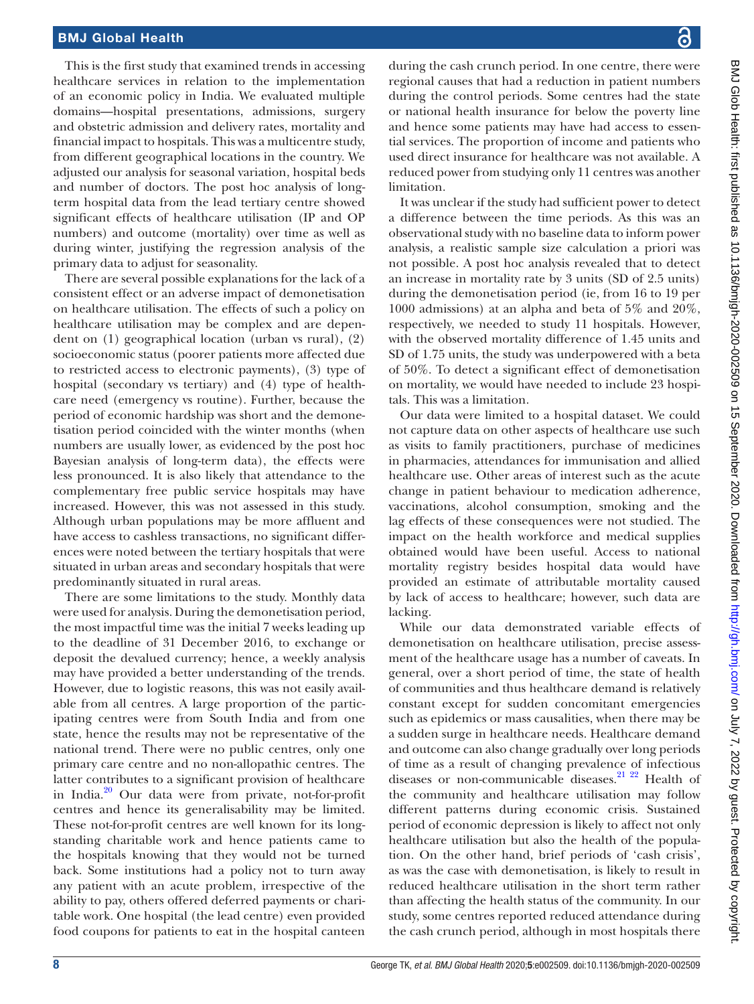This is the first study that examined trends in accessing healthcare services in relation to the implementation of an economic policy in India. We evaluated multiple domains—hospital presentations, admissions, surgery and obstetric admission and delivery rates, mortality and financial impact to hospitals. This was a multicentre study, from different geographical locations in the country. We adjusted our analysis for seasonal variation, hospital beds and number of doctors. The post hoc analysis of longterm hospital data from the lead tertiary centre showed significant effects of healthcare utilisation (IP and OP numbers) and outcome (mortality) over time as well as during winter, justifying the regression analysis of the primary data to adjust for seasonality.

There are several possible explanations for the lack of a consistent effect or an adverse impact of demonetisation on healthcare utilisation. The effects of such a policy on healthcare utilisation may be complex and are dependent on (1) geographical location (urban vs rural), (2) socioeconomic status (poorer patients more affected due to restricted access to electronic payments), (3) type of hospital (secondary vs tertiary) and (4) type of healthcare need (emergency vs routine). Further, because the period of economic hardship was short and the demonetisation period coincided with the winter months (when numbers are usually lower, as evidenced by the post hoc Bayesian analysis of long-term data), the effects were less pronounced. It is also likely that attendance to the complementary free public service hospitals may have increased. However, this was not assessed in this study. Although urban populations may be more affluent and have access to cashless transactions, no significant differences were noted between the tertiary hospitals that were situated in urban areas and secondary hospitals that were predominantly situated in rural areas.

There are some limitations to the study. Monthly data were used for analysis. During the demonetisation period, the most impactful time was the initial 7 weeks leading up to the deadline of 31 December 2016, to exchange or deposit the devalued currency; hence, a weekly analysis may have provided a better understanding of the trends. However, due to logistic reasons, this was not easily available from all centres. A large proportion of the participating centres were from South India and from one state, hence the results may not be representative of the national trend. There were no public centres, only one primary care centre and no non-allopathic centres. The latter contributes to a significant provision of healthcare in India. $^{20}$  Our data were from private, not-for-profit centres and hence its generalisability may be limited. These not-for-profit centres are well known for its longstanding charitable work and hence patients came to the hospitals knowing that they would not be turned back. Some institutions had a policy not to turn away any patient with an acute problem, irrespective of the ability to pay, others offered deferred payments or charitable work. One hospital (the lead centre) even provided food coupons for patients to eat in the hospital canteen

during the cash crunch period. In one centre, there were regional causes that had a reduction in patient numbers during the control periods. Some centres had the state or national health insurance for below the poverty line and hence some patients may have had access to essential services. The proportion of income and patients who used direct insurance for healthcare was not available. A reduced power from studying only 11 centres was another limitation.

It was unclear if the study had sufficient power to detect a difference between the time periods. As this was an observational study with no baseline data to inform power analysis, a realistic sample size calculation a priori was not possible. A post hoc analysis revealed that to detect an increase in mortality rate by 3 units (SD of 2.5 units) during the demonetisation period (ie, from 16 to 19 per 1000 admissions) at an alpha and beta of 5% and 20%, respectively, we needed to study 11 hospitals. However, with the observed mortality difference of 1.45 units and SD of 1.75 units, the study was underpowered with a beta of 50%. To detect a significant effect of demonetisation on mortality, we would have needed to include 23 hospitals. This was a limitation.

Our data were limited to a hospital dataset. We could not capture data on other aspects of healthcare use such as visits to family practitioners, purchase of medicines in pharmacies, attendances for immunisation and allied healthcare use. Other areas of interest such as the acute change in patient behaviour to medication adherence, vaccinations, alcohol consumption, smoking and the lag effects of these consequences were not studied. The impact on the health workforce and medical supplies obtained would have been useful. Access to national mortality registry besides hospital data would have provided an estimate of attributable mortality caused by lack of access to healthcare; however, such data are lacking.

While our data demonstrated variable effects of demonetisation on healthcare utilisation, precise assessment of the healthcare usage has a number of caveats. In general, over a short period of time, the state of health of communities and thus healthcare demand is relatively constant except for sudden concomitant emergencies such as epidemics or mass causalities, when there may be a sudden surge in healthcare needs. Healthcare demand and outcome can also change gradually over long periods of time as a result of changing prevalence of infectious diseases or non-communicable diseases.<sup>21</sup> <sup>22</sup> Health of the community and healthcare utilisation may follow different patterns during economic crisis. Sustained period of economic depression is likely to affect not only healthcare utilisation but also the health of the population. On the other hand, brief periods of 'cash crisis', as was the case with demonetisation, is likely to result in reduced healthcare utilisation in the short term rather than affecting the health status of the community. In our study, some centres reported reduced attendance during the cash crunch period, although in most hospitals there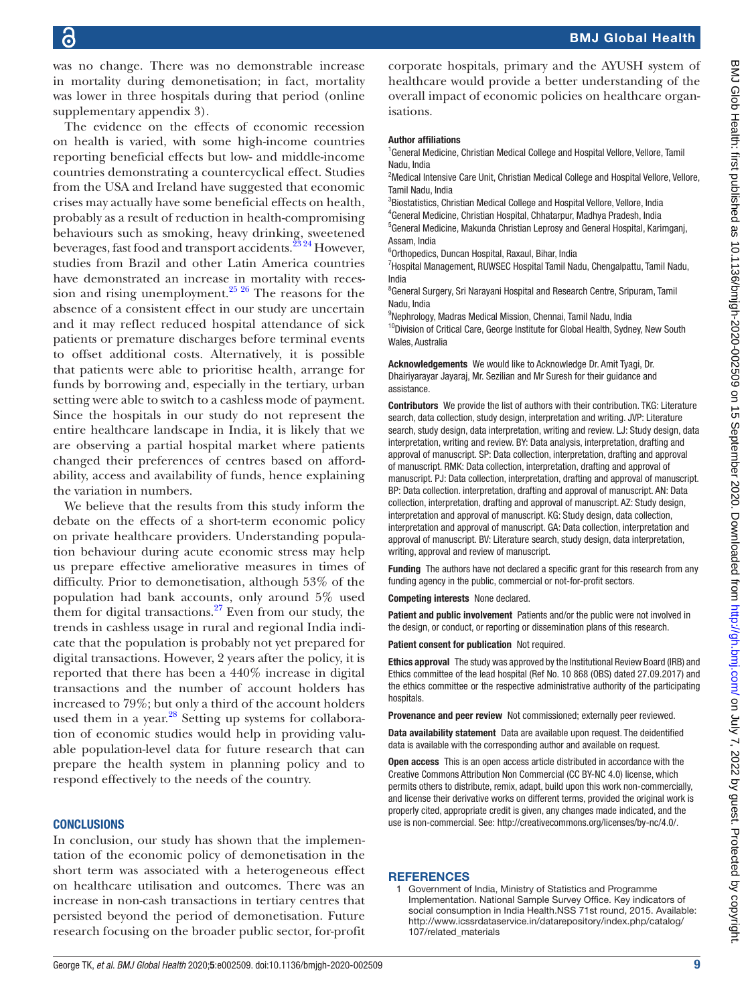was no change. There was no demonstrable increase in mortality during demonetisation; in fact, mortality was lower in three hospitals during that period [\(online](https://dx.doi.org/10.1136/bmjgh-2020-002509) [supplementary appendix 3](https://dx.doi.org/10.1136/bmjgh-2020-002509)).

The evidence on the effects of economic recession on health is varied, with some high-income countries reporting beneficial effects but low- and middle-income countries demonstrating a countercyclical effect. Studies from the USA and Ireland have suggested that economic crises may actually have some beneficial effects on health, probably as a result of reduction in health-compromising behaviours such as smoking, heavy drinking, sweetened beverages, fast food and transport accidents.<sup>23</sup> 24 However, studies from Brazil and other Latin America countries have demonstrated an increase in mortality with recession and rising unemployment.<sup>25</sup> <sup>26</sup> The reasons for the absence of a consistent effect in our study are uncertain and it may reflect reduced hospital attendance of sick patients or premature discharges before terminal events to offset additional costs. Alternatively, it is possible that patients were able to prioritise health, arrange for funds by borrowing and, especially in the tertiary, urban setting were able to switch to a cashless mode of payment. Since the hospitals in our study do not represent the entire healthcare landscape in India, it is likely that we are observing a partial hospital market where patients changed their preferences of centres based on affordability, access and availability of funds, hence explaining the variation in numbers.

We believe that the results from this study inform the debate on the effects of a short-term economic policy on private healthcare providers. Understanding population behaviour during acute economic stress may help us prepare effective ameliorative measures in times of difficulty. Prior to demonetisation, although 53% of the population had bank accounts, only around 5% used them for digital transactions. $27$  Even from our study, the trends in cashless usage in rural and regional India indicate that the population is probably not yet prepared for digital transactions. However, 2 years after the policy, it is reported that there has been a 440% increase in digital transactions and the number of account holders has increased to 79%; but only a third of the account holders used them in a year. $^{28}$  $^{28}$  $^{28}$  Setting up systems for collaboration of economic studies would help in providing valuable population-level data for future research that can prepare the health system in planning policy and to respond effectively to the needs of the country.

#### **CONCLUSIONS**

In conclusion, our study has shown that the implementation of the economic policy of demonetisation in the short term was associated with a heterogeneous effect on healthcare utilisation and outcomes. There was an increase in non-cash transactions in tertiary centres that persisted beyond the period of demonetisation. Future research focusing on the broader public sector, for-profit

corporate hospitals, primary and the AYUSH system of healthcare would provide a better understanding of the overall impact of economic policies on healthcare organisations.

#### Author affiliations

<sup>1</sup> General Medicine, Christian Medical College and Hospital Vellore, Vellore, Tamil Nadu, India

<sup>2</sup>Medical Intensive Care Unit, Christian Medical College and Hospital Vellore, Vellore, Tamil Nadu, India

<sup>3</sup>Biostatistics, Christian Medical College and Hospital Vellore, Vellore, India 4 General Medicine, Christian Hospital, Chhatarpur, Madhya Pradesh, India

<sup>5</sup>General Medicine, Makunda Christian Leprosy and General Hospital, Karimganj, Assam, India

6 Orthopedics, Duncan Hospital, Raxaul, Bihar, India

<sup>7</sup> Hospital Management, RUWSEC Hospital Tamil Nadu, Chengalpattu, Tamil Nadu, India

<sup>8</sup> General Surgery, Sri Narayani Hospital and Research Centre, Sripuram, Tamil Nadu, India

9 Nephrology, Madras Medical Mission, Chennai, Tamil Nadu, India

<sup>10</sup>Division of Critical Care, George Institute for Global Health, Sydney, New South Wales, Australia

Acknowledgements We would like to Acknowledge Dr. Amit Tyagi, Dr. Dhairiyarayar Jayaraj, Mr. Sezilian and Mr Suresh for their guidance and assistance.

Contributors We provide the list of authors with their contribution. TKG: Literature search, data collection, study design, interpretation and writing. JVP: Literature search, study design, data interpretation, writing and review. LJ: Study design, data interpretation, writing and review. BY: Data analysis, interpretation, drafting and approval of manuscript. SP: Data collection, interpretation, drafting and approval of manuscript. RMK: Data collection, interpretation, drafting and approval of manuscript. PJ: Data collection, interpretation, drafting and approval of manuscript. BP: Data collection. interpretation, drafting and approval of manuscript. AN: Data collection, interpretation, drafting and approval of manuscript. AZ: Study design, interpretation and approval of manuscript. KG: Study design, data collection, interpretation and approval of manuscript. GA: Data collection, interpretation and approval of manuscript. BV: Literature search, study design, data interpretation, writing, approval and review of manuscript.

Funding The authors have not declared a specific grant for this research from any funding agency in the public, commercial or not-for-profit sectors.

Competing interests None declared.

Patient and public involvement Patients and/or the public were not involved in the design, or conduct, or reporting or dissemination plans of this research.

Patient consent for publication Not required.

Ethics approval The study was approved by the Institutional Review Board (IRB) and Ethics committee of the lead hospital (Ref No. 10 868 (OBS) dated 27.09.2017) and the ethics committee or the respective administrative authority of the participating hospitals.

Provenance and peer review Not commissioned; externally peer reviewed.

Data availability statement Data are available upon request. The deidentified data is available with the corresponding author and available on request.

Open access This is an open access article distributed in accordance with the Creative Commons Attribution Non Commercial (CC BY-NC 4.0) license, which permits others to distribute, remix, adapt, build upon this work non-commercially, and license their derivative works on different terms, provided the original work is properly cited, appropriate credit is given, any changes made indicated, and the use is non-commercial. See:<http://creativecommons.org/licenses/by-nc/4.0/>.

#### **REFERENCES**

<span id="page-8-0"></span>1 Government of India, Ministry of Statistics and Programme Implementation. National Sample Survey Office. Key indicators of social consumption in India Health.NSS 71st round, 2015. Available: [http://www.icssrdataservice.in/datarepository/index.php/catalog/](http://www.icssrdataservice.in/datarepository/index.php/catalog/107/related_materials) [107/related\\_materials](http://www.icssrdataservice.in/datarepository/index.php/catalog/107/related_materials)